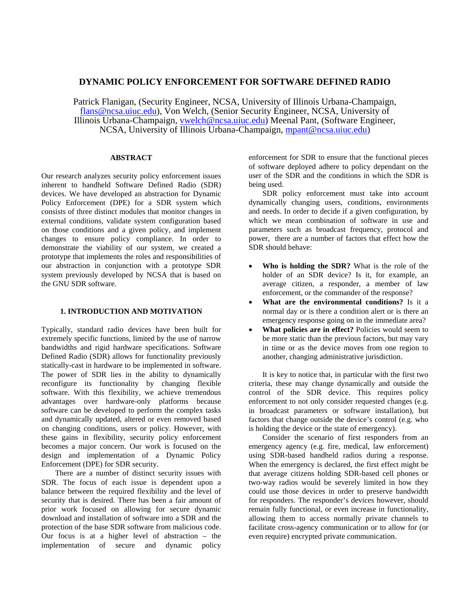# **DYNAMIC POLICY ENFORCEMENT FOR SOFTWARE DEFINED RADIO**

Patrick Flanigan, (Security Engineer, NCSA, University of Illinois Urbana-Champaign, [flans@ncsa.uiuc.edu](mailto:flans@ncsa.uiuc.edu)), Von Welch, (Senior Security Engineer, NCSA, University of Illinois Urbana-Champaign, [vwelch@ncsa.uiuc.edu](mailto:vwelch@ncsa.uiuc.edu)) Meenal Pant, (Software Engineer, NCSA, University of Illinois Urbana-Champaign, [mpant@ncsa.uiuc.edu](mailto:vwelch@ncsa.uiuc.edu))

# **ABSTRACT**

Our research analyzes security policy enforcement issues inherent to handheld Software Defined Radio (SDR) devices. We have developed an abstraction for Dynamic Policy Enforcement (DPE) for a SDR system which consists of three distinct modules that monitor changes in external conditions, validate system configuration based on those conditions and a given policy, and implement changes to ensure policy compliance. In order to demonstrate the viability of our system, we created a prototype that implements the roles and responsibilities of our abstraction in conjunction with a prototype SDR system previously developed by NCSA that is based on the GNU SDR software.

# **1. INTRODUCTION AND MOTIVATION**

Typically, standard radio devices have been built for extremely specific functions, limited by the use of narrow bandwidths and rigid hardware specifications. Software Defined Radio (SDR) allows for functionality previously statically-cast in hardware to be implemented in software. The power of SDR lies in the ability to dynamically reconfigure its functionality by changing flexible software. With this flexibility, we achieve tremendous advantages over hardware-only platforms because software can be developed to perform the complex tasks and dynamically updated, altered or even removed based on changing conditions, users or policy. However, with these gains in flexibility, security policy enforcement becomes a major concern. Our work is focused on the design and implementation of a Dynamic Policy Enforcement (DPE) for SDR security.

 There are a number of distinct security issues with SDR. The focus of each issue is dependent upon a balance between the required flexibility and the level of security that is desired. There has been a fair amount of prior work focused on allowing for secure dynamic download and installation of software into a SDR and the protection of the base SDR software from malicious code. Our focus is at a higher level of abstraction – the implementation of secure and dynamic policy enforcement for SDR to ensure that the functional pieces of software deployed adhere to policy dependant on the user of the SDR and the conditions in which the SDR is being used.

 SDR policy enforcement must take into account dynamically changing users, conditions, environments and needs. In order to decide if a given configuration, by which we mean combination of software in use and parameters such as broadcast frequency, protocol and power, there are a number of factors that effect how the SDR should behave:

- **Who is holding the SDR?** What is the role of the holder of an SDR device? Is it, for example, an average citizen, a responder, a member of law enforcement, or the commander of the response?
- **What are the environmental conditions?** Is it a normal day or is there a condition alert or is there an emergency response going on in the immediate area?
- **What policies are in effect?** Policies would seem to be more static than the previous factors, but may vary in time or as the device moves from one region to another, changing administrative jurisdiction.

It is key to notice that, in particular with the first two criteria, these may change dynamically and outside the control of the SDR device. This requires policy enforcement to not only consider requested changes (e.g. in broadcast parameters or software installation), but factors that change outside the device's control (e.g. who is holding the device or the state of emergency).

 Consider the scenario of first responders from an emergency agency (e.g. fire, medical, law enforcement) using SDR-based handheld radios during a response. When the emergency is declared, the first effect might be that average citizens holding SDR-based cell phones or two-way radios would be severely limited in how they could use those devices in order to preserve bandwidth for responders. The responder's devices however, should remain fully functional, or even increase in functionality, allowing them to access normally private channels to facilitate cross-agency communication or to allow for (or even require) encrypted private communication.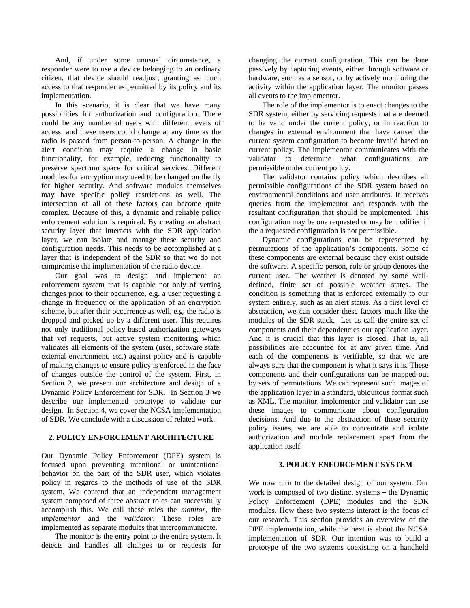And, if under some unusual circumstance, a responder were to use a device belonging to an ordinary citizen, that device should readjust, granting as much access to that responder as permitted by its policy and its implementation.

 In this scenario, it is clear that we have many possibilities for authorization and configuration. There could be any number of users with different levels of access, and these users could change at any time as the radio is passed from person-to-person. A change in the alert condition may require a change in basic functionality, for example, reducing functionality to preserve spectrum space for critical services. Different modules for encryption may need to be changed on the fly for higher security. And software modules themselves may have specific policy restrictions as well. The intersection of all of these factors can become quite complex. Because of this, a dynamic and reliable policy enforcement solution is required. By creating an abstract security layer that interacts with the SDR application layer, we can isolate and manage these security and configuration needs. This needs to be accomplished at a layer that is independent of the SDR so that we do not compromise the implementation of the radio device.

 Our goal was to design and implement an enforcement system that is capable not only of vetting changes prior to their occurrence, e.g. a user requesting a change in frequency or the application of an encryption scheme, but after their occurrence as well, e.g. the radio is dropped and picked up by a different user. This requires not only traditional policy-based authorization gateways that vet requests, but active system monitoring which validates all elements of the system (user, software state, external environment, etc.) against policy and is capable of making changes to ensure policy is enforced in the face of changes outside the control of the system. First, in Section 2, we present our architecture and design of a Dynamic Policy Enforcement for SDR. In Section 3 we describe our implemented prototype to validate our design. In Section 4, we cover the NCSA implementation of SDR. We conclude with a discussion of related work.

# **2. POLICY ENFORCEMENT ARCHITECTURE**

Our Dynamic Policy Enforcement (DPE) system is focused upon preventing intentional or unintentional behavior on the part of the SDR user, which violates policy in regards to the methods of use of the SDR system. We contend that an independent management system composed of three abstract roles can successfully accomplish this. We call these roles the *monitor*, the *implementor* and the *validator*. These roles are implemented as separate modules that intercommunicate.

 The monitor is the entry point to the entire system. It detects and handles all changes to or requests for changing the current configuration. This can be done passively by capturing events, either through software or hardware, such as a sensor, or by actively monitoring the activity within the application layer. The monitor passes all events to the implementor.

 The role of the implementor is to enact changes to the SDR system, either by servicing requests that are deemed to be valid under the current policy, or in reaction to changes in external environment that have caused the current system configuration to become invalid based on current policy. The implementor communicates with the validator to determine what configurations are permissible under current policy.

 The validator contains policy which describes all permissible configurations of the SDR system based on environmental conditions and user attributes. It receives queries from the implementor and responds with the resultant configuration that should be implemented. This configuration may be one requested or may be modified if the a requested configuration is not permissible.

 Dynamic configurations can be represented by permutations of the application's components. Some of these components are external because they exist outside the software. A specific person, role or group denotes the current user. The weather is denoted by some welldefined, finite set of possible weather states. The condition is something that is enforced externally to our system entirely, such as an alert status. As a first level of abstraction, we can consider these factors much like the modules of the SDR stack. Let us call the entire set of components and their dependencies our application layer. And it is crucial that this layer is closed. That is, all possibilities are accounted for at any given time. And each of the components is verifiable, so that we are always sure that the component is what it says it is. These components and their configurations can be mapped-out by sets of permutations. We can represent such images of the application layer in a standard, ubiquitous format such as XML. The monitor, implementor and validator can use these images to communicate about configuration decisions. And due to the abstraction of these security policy issues, we are able to concentrate and isolate authorization and module replacement apart from the application itself.

# **3. POLICY ENFORCEMENT SYSTEM**

We now turn to the detailed design of our system. Our work is composed of two distinct systems – the Dynamic Policy Enforcement (DPE) modules and the SDR modules. How these two systems interact is the focus of our research. This section provides an overview of the DPE implementation, while the next is about the NCSA implementation of SDR. Our intention was to build a prototype of the two systems coexisting on a handheld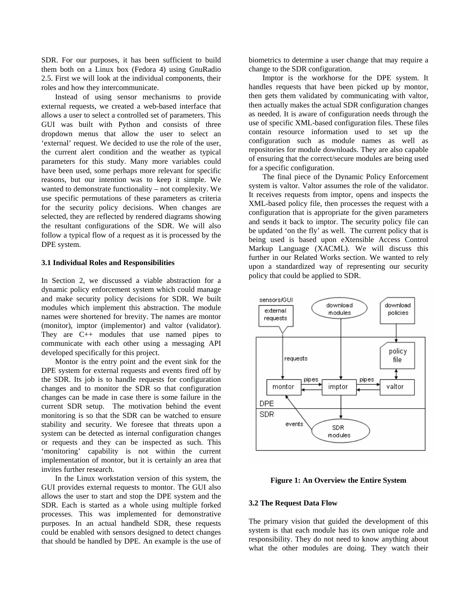SDR. For our purposes, it has been sufficient to build them both on a Linux box (Fedora 4) using GnuRadio 2.5. First we will look at the individual components, their roles and how they intercommunicate.

Instead of using sensor mechanisms to provide external requests, we created a web-based interface that allows a user to select a controlled set of parameters. This GUI was built with Python and consists of three dropdown menus that allow the user to select an 'external' request. We decided to use the role of the user, the current alert condition and the weather as typical parameters for this study. Many more variables could have been used, some perhaps more relevant for specific reasons, but our intention was to keep it simple. We wanted to demonstrate functionality – not complexity. We use specific permutations of these parameters as criteria for the security policy decisions. When changes are selected, they are reflected by rendered diagrams showing the resultant configurations of the SDR. We will also follow a typical flow of a request as it is processed by the DPE system.

#### **3.1 Individual Roles and Responsibilities**

In Section 2, we discussed a viable abstraction for a dynamic policy enforcement system which could manage and make security policy decisions for SDR. We built modules which implement this abstraction. The module names were shortened for brevity. The names are montor (monitor), imptor (implementor) and valtor (validator). They are C++ modules that use named pipes to communicate with each other using a messaging API developed specifically for this project.

Montor is the entry point and the event sink for the DPE system for external requests and events fired off by the SDR. Its job is to handle requests for configuration changes and to monitor the SDR so that configuration changes can be made in case there is some failure in the current SDR setup. The motivation behind the event monitoring is so that the SDR can be watched to ensure stability and security. We foresee that threats upon a system can be detected as internal configuration changes or requests and they can be inspected as such. This 'monitoring' capability is not within the current implementation of montor, but it is certainly an area that invites further research.

In the Linux workstation version of this system, the GUI provides external requests to montor. The GUI also allows the user to start and stop the DPE system and the SDR. Each is started as a whole using multiple forked processes. This was implemented for demonstrative purposes. In an actual handheld SDR, these requests could be enabled with sensors designed to detect changes that should be handled by DPE. An example is the use of biometrics to determine a user change that may require a change to the SDR configuration.

Imptor is the workhorse for the DPE system. It handles requests that have been picked up by montor, then gets them validated by communicating with valtor, then actually makes the actual SDR configuration changes as needed. It is aware of configuration needs through the use of specific XML-based configuration files. These files contain resource information used to set up the configuration such as module names as well as repositories for module downloads. They are also capable of ensuring that the correct/secure modules are being used for a specific configuration.

The final piece of the Dynamic Policy Enforcement system is valtor. Valtor assumes the role of the validator. It receives requests from imptor, opens and inspects the XML-based policy file, then processes the request with a configuration that is appropriate for the given parameters and sends it back to imptor. The security policy file can be updated 'on the fly' as well. The current policy that is being used is based upon eXtensible Access Control Markup Language (XACML). We will discuss this further in our Related Works section. We wanted to rely upon a standardized way of representing our security policy that could be applied to SDR.



## **Figure 1: An Overview the Entire System**

# **3.2 The Request Data Flow**

The primary vision that guided the development of this system is that each module has its own unique role and responsibility. They do not need to know anything about what the other modules are doing. They watch their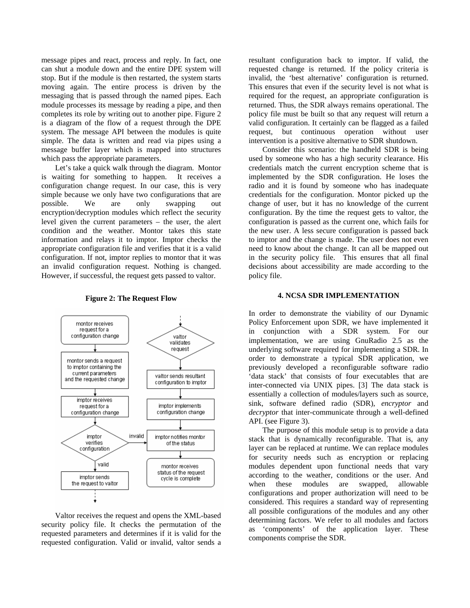message pipes and react, process and reply. In fact, one can shut a module down and the entire DPE system will stop. But if the module is then restarted, the system starts moving again. The entire process is driven by the messaging that is passed through the named pipes. Each module processes its message by reading a pipe, and then completes its role by writing out to another pipe. Figure 2 is a diagram of the flow of a request through the DPE system. The message API between the modules is quite simple. The data is written and read via pipes using a message buffer layer which is mapped into structures which pass the appropriate parameters.

Let's take a quick walk through the diagram. Montor is waiting for something to happen. It receives a configuration change request. In our case, this is very simple because we only have two configurations that are possible. We are only swapping out encryption/decryption modules which reflect the security level given the current parameters – the user, the alert condition and the weather. Montor takes this state information and relays it to imptor. Imptor checks the appropriate configuration file and verifies that it is a valid configuration. If not, imptor replies to montor that it was an invalid configuration request. Nothing is changed. However, if successful, the request gets passed to valtor.



**Figure 2: The Request Flow**

Valtor receives the request and opens the XML-based security policy file. It checks the permutation of the requested parameters and determines if it is valid for the requested configuration. Valid or invalid, valtor sends a resultant configuration back to imptor. If valid, the requested change is returned. If the policy criteria is invalid, the 'best alternative' configuration is returned. This ensures that even if the security level is not what is required for the request, an appropriate configuration is returned. Thus, the SDR always remains operational. The policy file must be built so that any request will return a valid configuration. It certainly can be flagged as a failed request, but continuous operation without user intervention is a positive alternative to SDR shutdown.

Consider this scenario: the handheld SDR is being used by someone who has a high security clearance. His credentials match the current encryption scheme that is implemented by the SDR configuration. He loses the radio and it is found by someone who has inadequate credentials for the configuration. Montor picked up the change of user, but it has no knowledge of the current configuration. By the time the request gets to valtor, the configuration is passed as the current one, which fails for the new user. A less secure configuration is passed back to imptor and the change is made. The user does not even need to know about the change. It can all be mapped out in the security policy file. This ensures that all final decisions about accessibility are made according to the policy file.

### **4. NCSA SDR IMPLEMENTATION**

In order to demonstrate the viability of our Dynamic Policy Enforcement upon SDR, we have implemented it in conjunction with a SDR system. For our implementation, we are using GnuRadio 2.5 as the underlying software required for implementing a SDR. In order to demonstrate a typical SDR application, we previously developed a reconfigurable software radio 'data stack' that consists of four executables that are inter-connected via UNIX pipes. [3] The data stack is essentially a collection of modules/layers such as source, sink, software defined radio (SDR), *encryptor* and *decryptor* that inter-communicate through a well-defined API. (see Figure 3).

The purpose of this module setup is to provide a data stack that is dynamically reconfigurable. That is, any layer can be replaced at runtime. We can replace modules for security needs such as encryption or replacing modules dependent upon functional needs that vary according to the weather, conditions or the user. And when these modules are swapped, allowable configurations and proper authorization will need to be considered. This requires a standard way of representing all possible configurations of the modules and any other determining factors. We refer to all modules and factors as 'components' of the application layer. These components comprise the SDR.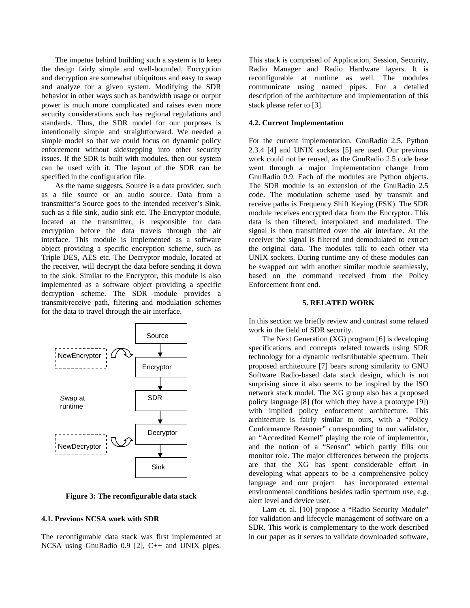The impetus behind building such a system is to keep the design fairly simple and well-bounded. Encryption and decryption are somewhat ubiquitous and easy to swap and analyze for a given system. Modifying the SDR behavior in other ways such as bandwidth usage or output power is much more complicated and raises even more security considerations such has regional regulations and standards. Thus, the SDR model for our purposes is intentionally simple and straightforward. We needed a simple model so that we could focus on dynamic policy enforcement without sidestepping into other security issues. If the SDR is built with modules, then our system can be used with it. The layout of the SDR can be specified in the configuration file.

As the name suggests, Source is a data provider, such as a file source or an audio source. Data from a transmitter's Source goes to the intended receiver's Sink, such as a file sink, audio sink etc. The Encryptor module, located at the transmitter, is responsible for data encryption before the data travels through the air interface. This module is implemented as a software object providing a specific encryption scheme, such as Triple DES, AES etc. The Decryptor module, located at the receiver, will decrypt the data before sending it down to the sink. Similar to the Encryptor, this module is also implemented as a software object providing a specific decryption scheme. The SDR module provides a transmit/receive path, filtering and modulation schemes for the data to travel through the air interface.



**Figure 3: The reconfigurable data stack** 

## **4.1. Previous NCSA work with SDR**

The reconfigurable data stack was first implemented at NCSA using GnuRadio 0.9 [2], C++ and UNIX pipes. This stack is comprised of Application, Session, Security, Radio Manager and Radio Hardware layers. It is reconfigurable at runtime as well. The modules communicate using named pipes. For a detailed description of the architecture and implementation of this stack please refer to [3].

### **4.2. Current Implementation**

For the current implementation, GnuRadio 2.5, Python 2.3.4 [4] and UNIX sockets [5] are used. Our previous work could not be reused, as the GnuRadio 2.5 code base went through a major implementation change from GnuRadio 0.9. Each of the modules are Python objects. The SDR module is an extension of the GnuRadio 2.5 code. The modulation scheme used by transmit and receive paths is Frequency Shift Keying (FSK). The SDR module receives encrypted data from the Encryptor. This data is then filtered, interpolated and modulated. The signal is then transmitted over the air interface. At the receiver the signal is filtered and demodulated to extract the original data. The modules talk to each other via UNIX sockets. During runtime any of these modules can be swapped out with another similar module seamlessly, based on the command received from the Policy Enforcement front end.

### **5. RELATED WORK**

In this section we briefly review and contrast some related work in the field of SDR security.

The Next Generation (XG) program [6] is developing specifications and concepts related towards using SDR technology for a dynamic redistributable spectrum. Their proposed architecture [7] bears strong similarity to GNU Software Radio-based data stack design, which is not surprising since it also seems to be inspired by the ISO network stack model. The XG group also has a proposed policy language [8] (for which they have a prototype [9]) with implied policy enforcement architecture. This architecture is fairly similar to ours, with a "Policy Conformance Reasoner" corresponding to our validator, an "Accredited Kernel" playing the role of implementor, and the notion of a "Sensor" which partly fills our monitor role. The major differences between the projects are that the XG has spent considerable effort in developing what appears to be a comprehensive policy language and our project has incorporated external environmental conditions besides radio spectrum use, e.g. alert level and device user.

Lam et. al. [10] propose a "Radio Security Module" for validation and lifecycle management of software on a SDR. This work is complementary to the work described in our paper as it serves to validate downloaded software,